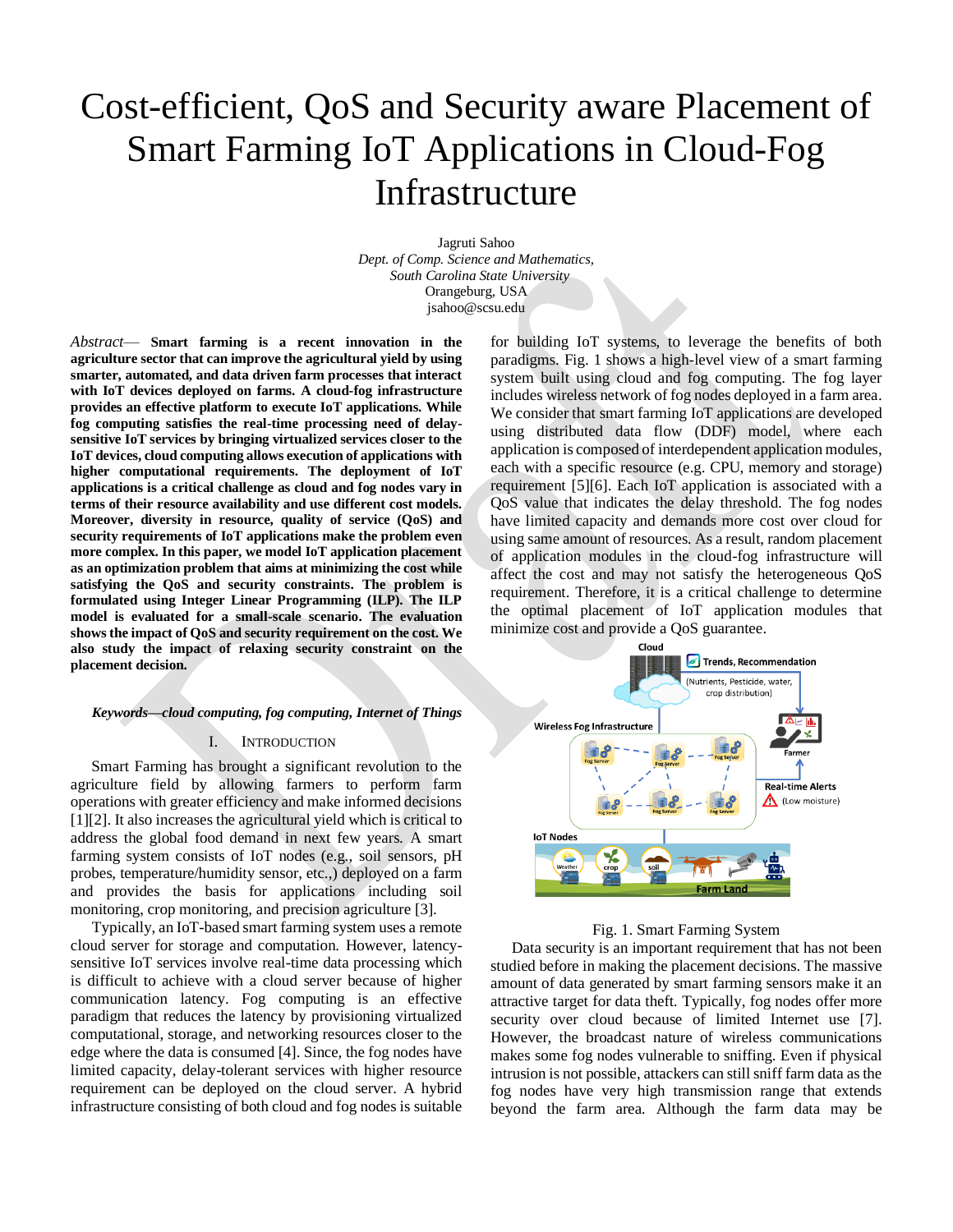# Cost-efficient, QoS and Security aware Placement of Smart Farming IoT Applications in Cloud-Fog **Infrastructure**

Jagruti Sahoo *Dept. of Comp. Science and Mathematics, South Carolina State University* Orangeburg, USA jsahoo@scsu.edu

*Abstract*— **Smart farming is a recent innovation in the agriculture sector that can improve the agricultural yield by using smarter, automated, and data driven farm processes that interact with IoT devices deployed on farms. A cloud-fog infrastructure provides an effective platform to execute IoT applications. While fog computing satisfies the real-time processing need of delaysensitive IoT services by bringing virtualized services closer to the IoT devices, cloud computing allows execution of applications with higher computational requirements. The deployment of IoT applications is a critical challenge as cloud and fog nodes vary in terms of their resource availability and use different cost models. Moreover, diversity in resource, quality of service (QoS) and security requirements of IoT applications make the problem even more complex. In this paper, we model IoT application placement as an optimization problem that aims at minimizing the cost while satisfying the QoS and security constraints. The problem is formulated using Integer Linear Programming (ILP). The ILP model is evaluated for a small-scale scenario. The evaluation shows the impact of QoS and security requirement on the cost. We also study the impact of relaxing security constraint on the placement decision.**

# *Keywords—cloud computing, fog computing, Internet of Things*

#### I. INTRODUCTION

Smart Farming has brought a significant revolution to the agriculture field by allowing farmers to perform farm operations with greater efficiency and make informed decisions [1][2]. It also increases the agricultural yield which is critical to address the global food demand in next few years. A smart farming system consists of IoT nodes (e.g., soil sensors, pH probes, temperature/humidity sensor, etc.,) deployed on a farm and provides the basis for applications including soil monitoring, crop monitoring, and precision agriculture [3].

Typically, an IoT-based smart farming system uses a remote cloud server for storage and computation. However, latencysensitive IoT services involve real-time data processing which is difficult to achieve with a cloud server because of higher communication latency. Fog computing is an effective paradigm that reduces the latency by provisioning virtualized computational, storage, and networking resources closer to the edge where the data is consumed [4]. Since, the fog nodes have limited capacity, delay-tolerant services with higher resource requirement can be deployed on the cloud server. A hybrid infrastructure consisting of both cloud and fog nodes is suitable

for building IoT systems, to leverage the benefits of both paradigms. Fig. 1 shows a high-level view of a smart farming system built using cloud and fog computing. The fog layer includes wireless network of fog nodes deployed in a farm area. We consider that smart farming IoT applications are developed using distributed data flow (DDF) model, where each application is composed of interdependent application modules, each with a specific resource (e.g. CPU, memory and storage) requirement [5][6]. Each IoT application is associated with a QoS value that indicates the delay threshold. The fog nodes have limited capacity and demands more cost over cloud for using same amount of resources. As a result, random placement of application modules in the cloud-fog infrastructure will affect the cost and may not satisfy the heterogeneous QoS requirement. Therefore, it is a critical challenge to determine the optimal placement of IoT application modules that minimize cost and provide a QoS guarantee.



#### Fig. 1. Smart Farming System

Data security is an important requirement that has not been studied before in making the placement decisions. The massive amount of data generated by smart farming sensors make it an attractive target for data theft. Typically, fog nodes offer more security over cloud because of limited Internet use [7]. However, the broadcast nature of wireless communications makes some fog nodes vulnerable to sniffing. Even if physical intrusion is not possible, attackers can still sniff farm data as the fog nodes have very high transmission range that extends beyond the farm area. Although the farm data may be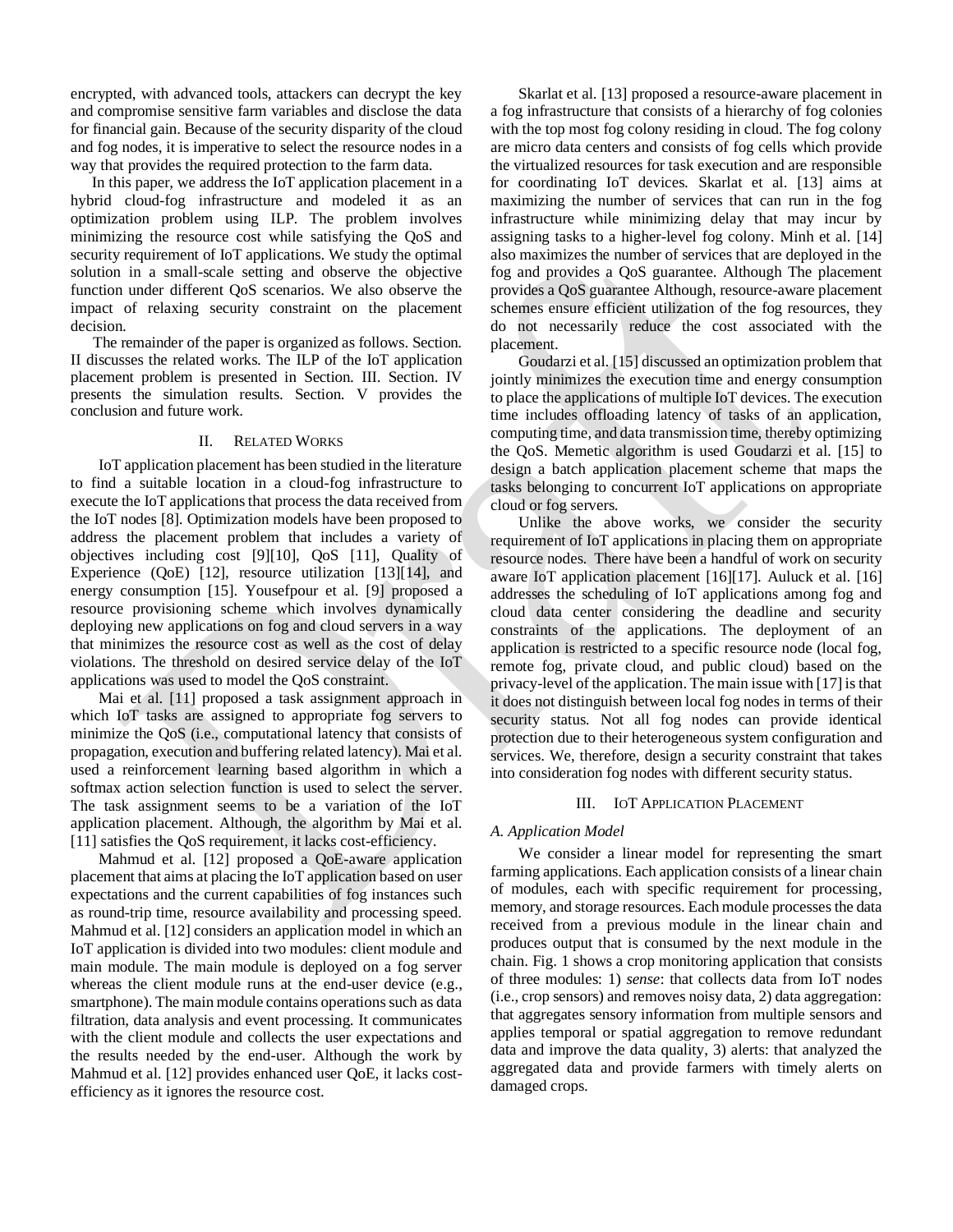encrypted, with advanced tools, attackers can decrypt the key and compromise sensitive farm variables and disclose the data for financial gain. Because of the security disparity of the cloud and fog nodes, it is imperative to select the resource nodes in a way that provides the required protection to the farm data.

In this paper, we address the IoT application placement in a hybrid cloud-fog infrastructure and modeled it as an optimization problem using ILP. The problem involves minimizing the resource cost while satisfying the QoS and security requirement of IoT applications. We study the optimal solution in a small-scale setting and observe the objective function under different QoS scenarios. We also observe the impact of relaxing security constraint on the placement decision.

The remainder of the paper is organized as follows. Section. II discusses the related works. The ILP of the IoT application placement problem is presented in Section. III. Section. IV presents the simulation results. Section. V provides the conclusion and future work.

## II. RELATED WORKS

IoT application placement has been studied in the literature to find a suitable location in a cloud-fog infrastructure to execute the IoT applications that process the data received from the IoT nodes [8]. Optimization models have been proposed to address the placement problem that includes a variety of objectives including cost [9][10], QoS [11], Quality of Experience (QoE) [12], resource utilization [13][14], and energy consumption [15]. Yousefpour et al. [9] proposed a resource provisioning scheme which involves dynamically deploying new applications on fog and cloud servers in a way that minimizes the resource cost as well as the cost of delay violations. The threshold on desired service delay of the IoT applications was used to model the QoS constraint.

Mai et al. [11] proposed a task assignment approach in which IoT tasks are assigned to appropriate fog servers to minimize the QoS (i.e., computational latency that consists of propagation, execution and buffering related latency). Mai et al. used a reinforcement learning based algorithm in which a softmax action selection function is used to select the server. The task assignment seems to be a variation of the IoT application placement. Although, the algorithm by Mai et al. [11] satisfies the OoS requirement, it lacks cost-efficiency.

Mahmud et al. [12] proposed a QoE-aware application placement that aims at placing the IoT application based on user expectations and the current capabilities of fog instances such as round-trip time, resource availability and processing speed. Mahmud et al. [12] considers an application model in which an IoT application is divided into two modules: client module and main module. The main module is deployed on a fog server whereas the client module runs at the end-user device (e.g., smartphone). The main module contains operations such as data filtration, data analysis and event processing. It communicates with the client module and collects the user expectations and the results needed by the end-user. Although the work by Mahmud et al. [12] provides enhanced user QoE, it lacks costefficiency as it ignores the resource cost.

Skarlat et al. [13] proposed a resource-aware placement in a fog infrastructure that consists of a hierarchy of fog colonies with the top most fog colony residing in cloud. The fog colony are micro data centers and consists of fog cells which provide the virtualized resources for task execution and are responsible for coordinating IoT devices. Skarlat et al. [13] aims at maximizing the number of services that can run in the fog infrastructure while minimizing delay that may incur by assigning tasks to a higher-level fog colony. Minh et al. [14] also maximizes the number of services that are deployed in the fog and provides a QoS guarantee. Although The placement provides a QoS guarantee Although, resource-aware placement schemes ensure efficient utilization of the fog resources, they do not necessarily reduce the cost associated with the placement.

Goudarzi et al. [15] discussed an optimization problem that jointly minimizes the execution time and energy consumption to place the applications of multiple IoT devices. The execution time includes offloading latency of tasks of an application, computing time, and data transmission time, thereby optimizing the QoS. Memetic algorithm is used Goudarzi et al. [15] to design a batch application placement scheme that maps the tasks belonging to concurrent IoT applications on appropriate cloud or fog servers.

Unlike the above works, we consider the security requirement of IoT applications in placing them on appropriate resource nodes. There have been a handful of work on security aware IoT application placement [16][17]. Auluck et al. [16] addresses the scheduling of IoT applications among fog and cloud data center considering the deadline and security constraints of the applications. The deployment of an application is restricted to a specific resource node (local fog, remote fog, private cloud, and public cloud) based on the privacy-level of the application. The main issue with [17] is that it does not distinguish between local fog nodes in terms of their security status. Not all fog nodes can provide identical protection due to their heterogeneous system configuration and services. We, therefore, design a security constraint that takes into consideration fog nodes with different security status.

## III. IOT APPLICATION PLACEMENT

## *A. Application Model*

We consider a linear model for representing the smart farming applications. Each application consists of a linear chain of modules, each with specific requirement for processing, memory, and storage resources. Each module processes the data received from a previous module in the linear chain and produces output that is consumed by the next module in the chain. Fig. 1 shows a crop monitoring application that consists of three modules: 1) *sense*: that collects data from IoT nodes (i.e., crop sensors) and removes noisy data, 2) data aggregation: that aggregates sensory information from multiple sensors and applies temporal or spatial aggregation to remove redundant data and improve the data quality, 3) alerts: that analyzed the aggregated data and provide farmers with timely alerts on damaged crops.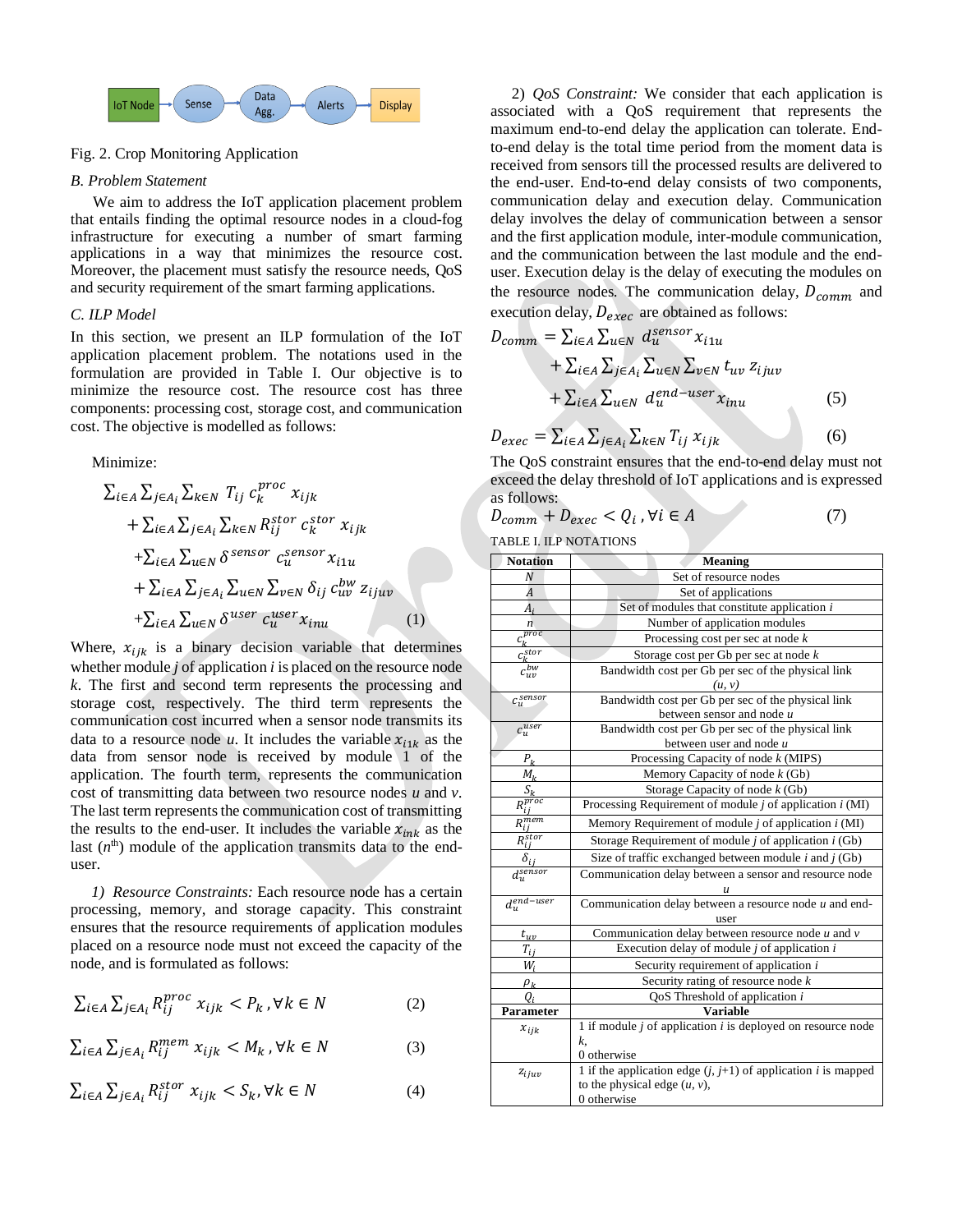

# Fig. 2. Crop Monitoring Application

## *B. Problem Statement*

We aim to address the IoT application placement problem that entails finding the optimal resource nodes in a cloud-fog infrastructure for executing a number of smart farming applications in a way that minimizes the resource cost. Moreover, the placement must satisfy the resource needs, QoS and security requirement of the smart farming applications.

## *C. ILP Model*

In this section, we present an ILP formulation of the IoT application placement problem. The notations used in the formulation are provided in Table I. Our objective is to minimize the resource cost. The resource cost has three components: processing cost, storage cost, and communication cost. The objective is modelled as follows:

Minimize:

$$
\Sigma_{i\in A} \Sigma_{j\in A_i} \Sigma_{k\in N} T_{ij} c_k^{proc} x_{ijk} + \Sigma_{i\in A} \Sigma_{j\in A_i} \Sigma_{k\in N} R_{ij}^{stor} c_k^{stor} x_{ijk} + \Sigma_{i\in A} \Sigma_{u\in N} \delta^{sensor} c_u^{sensor} x_{i1u} + \Sigma_{i\in A} \Sigma_{j\in A_i} \Sigma_{u\in N} \Sigma_{v\in N} \delta_{ij} c_{uv}^{bw} z_{ijuv} + \Sigma_{i\in A} \Sigma_{u\in N} \delta^{user} c_u^{user} x_{imu}
$$
\n(1)

Where,  $x_{ijk}$  is a binary decision variable that determines whether module *j* of application *i* is placed on the resource node *k*. The first and second term represents the processing and storage cost, respectively. The third term represents the communication cost incurred when a sensor node transmits its data to a resource node *u*. It includes the variable  $x_{i1k}$  as the data from sensor node is received by module 1 of the application. The fourth term, represents the communication cost of transmitting data between two resource nodes *u* and *v*. The last term represents the communication cost of transmitting the results to the end-user. It includes the variable  $x_{ink}$  as the last  $(n<sup>th</sup>)$  module of the application transmits data to the enduser.

*1) Resource Constraints:* Each resource node has a certain processing, memory, and storage capacity. This constraint ensures that the resource requirements of application modules placed on a resource node must not exceed the capacity of the node, and is formulated as follows:

$$
\sum_{i \in A} \sum_{j \in A_i} R_{ij}^{proc} \ x_{ijk} < P_k \ y \forall k \in N \tag{2}
$$

$$
\sum_{i \in A} \sum_{j \in A_i} R_{ij}^{mem} x_{ijk} < M_k \text{, } \forall k \in N \tag{3}
$$

$$
\sum_{i \in A} \sum_{j \in A_i} R_{ij}^{stor} x_{ijk} < S_k, \forall k \in N \tag{4}
$$

2) *QoS Constraint:* We consider that each application is associated with a QoS requirement that represents the maximum end-to-end delay the application can tolerate. Endto-end delay is the total time period from the moment data is received from sensors till the processed results are delivered to the end-user. End-to-end delay consists of two components, communication delay and execution delay. Communication delay involves the delay of communication between a sensor and the first application module, inter-module communication, and the communication between the last module and the enduser. Execution delay is the delay of executing the modules on the resource nodes. The communication delay,  $D_{comm}$  and execution delay,  $D_{exec}$  are obtained as follows:

$$
D_{comm} = \sum_{i \in A} \sum_{u \in N} d_u^{sensor} x_{i1u}
$$
  
+  $\sum_{i \in A} \sum_{j \in A_i} \sum_{u \in N} \sum_{v \in N} t_{uv} z_{ijuv}$   
+  $\sum_{i \in A} \sum_{u \in N} d_u^{end-user} x_{inu}$  (5)  

$$
D_{exec} = \sum_{i \in A} \sum_{j \in A_i} \sum_{k \in N} T_{ij} x_{ijk}
$$
 (6)

The QoS constraint ensures that the end-to-end delay must not exceed the delay threshold of IoT applications and is expressed as follows:

 $D_{comm} + D_{exec} < Q_i$ ,  $\forall i \in A$  (7)

TABLE I. ILP NOTATIONS

| <b>Notation</b>        | <b>Meaning</b>                                                  |  |
|------------------------|-----------------------------------------------------------------|--|
| N                      | Set of resource nodes                                           |  |
| A                      | Set of applications                                             |  |
| $A_i$                  | Set of modules that constitute application i                    |  |
| n                      | Number of application modules                                   |  |
| $c_k^{proc}$           | Processing cost per sec at node $k$                             |  |
| $c_k^{stor}$           | Storage cost per Gb per sec at node $k$                         |  |
| $c_{uv}^{bw}$          | Bandwidth cost per Gb per sec of the physical link              |  |
|                        | (u, v)                                                          |  |
| $c_u^{sensor}$         | Bandwidth cost per Gb per sec of the physical link              |  |
|                        | between sensor and node u                                       |  |
| $c_u^{user}$           | Bandwidth cost per Gb per sec of the physical link              |  |
|                        | between user and node $u$                                       |  |
| $P_k$                  | Processing Capacity of node $k$ (MIPS)                          |  |
| $M_k$                  | Memory Capacity of node k (Gb)                                  |  |
| $\overline{S_k}$       | Storage Capacity of node $k$ (Gb)                               |  |
| $\overline{R^{proc}}$  | Processing Requirement of module $j$ of application $i$ (MI)    |  |
| $R_i^{\overline{mem}}$ | Memory Requirement of module $j$ of application $i$ (MI)        |  |
| $R_{ij}^{stor}$        | Storage Requirement of module $j$ of application $i$ (Gb)       |  |
| $\delta_{ii}$          | Size of traffic exchanged between module $i$ and $j$ (Gb)       |  |
| $d_u^{\text{sensor}}$  | Communication delay between a sensor and resource node          |  |
|                        | $\mathcal{U}$                                                   |  |
| $d_u^{end-user}$       | Communication delay between a resource node $u$ and end-        |  |
|                        | user                                                            |  |
| $t_{uv}$               | Communication delay between resource node $u$ and $v$           |  |
| $T_{i\dot{L}}$         | Execution delay of module $j$ of application $i$                |  |
| $W_i$                  | Security requirement of application i                           |  |
| $\rho_k$               | Security rating of resource node $k$                            |  |
| ο,                     | QoS Threshold of application i                                  |  |
| <b>Parameter</b>       | Variable                                                        |  |
| $x_{ijk}$              | 1 if module $j$ of application $i$ is deployed on resource node |  |
|                        | k.                                                              |  |
|                        | 0 otherwise                                                     |  |
| $z_{i}$ <sub>juv</sub> | 1 if the application edge $(j, j+1)$ of application i is mapped |  |
|                        | to the physical edge $(u, v)$ ,                                 |  |
|                        | 0 otherwise                                                     |  |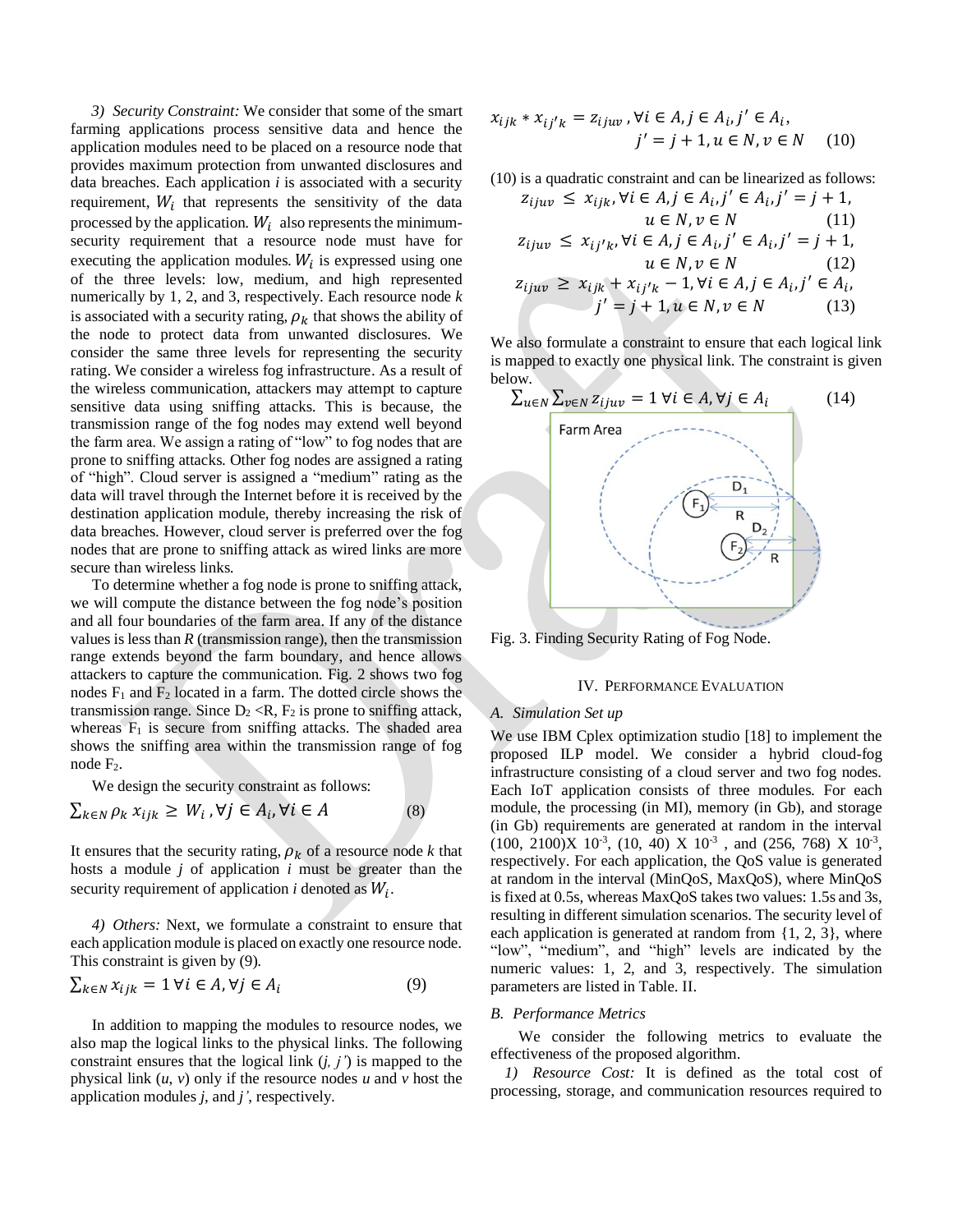*3) Security Constraint:* We consider that some of the smart farming applications process sensitive data and hence the application modules need to be placed on a resource node that provides maximum protection from unwanted disclosures and data breaches. Each application *i* is associated with a security requirement,  $W_i$  that represents the sensitivity of the data processed by the application.  $W_i$  also represents the minimumsecurity requirement that a resource node must have for executing the application modules.  $W_i$  is expressed using one of the three levels: low, medium, and high represented numerically by 1, 2, and 3, respectively. Each resource node *k* is associated with a security rating,  $\rho_k$  that shows the ability of the node to protect data from unwanted disclosures. We consider the same three levels for representing the security rating. We consider a wireless fog infrastructure. As a result of the wireless communication, attackers may attempt to capture sensitive data using sniffing attacks. This is because, the transmission range of the fog nodes may extend well beyond the farm area. We assign a rating of "low" to fog nodes that are prone to sniffing attacks. Other fog nodes are assigned a rating of "high". Cloud server is assigned a "medium" rating as the data will travel through the Internet before it is received by the destination application module, thereby increasing the risk of data breaches. However, cloud server is preferred over the fog nodes that are prone to sniffing attack as wired links are more secure than wireless links.

To determine whether a fog node is prone to sniffing attack, we will compute the distance between the fog node's position and all four boundaries of the farm area. If any of the distance values is less than  $R$  (transmission range), then the transmission range extends beyond the farm boundary, and hence allows attackers to capture the communication. Fig. 2 shows two fog nodes  $F_1$  and  $F_2$  located in a farm. The dotted circle shows the transmission range. Since  $D_2 \langle R, F_2 \rangle$  is prone to sniffing attack, whereas  $F_1$  is secure from sniffing attacks. The shaded area shows the sniffing area within the transmission range of fog node F<sub>2</sub>.

We design the security constraint as follows:

$$
\sum_{k \in N} \rho_k x_{ijk} \ge W_i, \forall j \in A_i, \forall i \in A
$$
 (8)

It ensures that the security rating,  $\rho_k$  of a resource node *k* that hosts a module *j* of application *i* must be greater than the security requirement of application  $i$  denoted as  $W_i$ .

*4) Others:* Next, we formulate a constraint to ensure that each application module is placed on exactly one resource node. This constraint is given by (9).

$$
\sum_{k \in N} x_{ijk} = 1 \,\forall i \in A, \forall j \in A_i \tag{9}
$$

In addition to mapping the modules to resource nodes, we also map the logical links to the physical links. The following constraint ensures that the logical link (*j, j'*) is mapped to the physical link (*u*, *v*) only if the resource nodes *u* and *v* host the application modules *j*, and *j'*, respectively.

$$
x_{ijk} * x_{ij'k} = z_{ijuv}, \forall i \in A, j \in A_i, j' \in A_i,j' = j + 1, u \in N, v \in N
$$
 (10)

(10) is a quadratic constraint and can be linearized as follows:

$$
z_{ijuv} \le x_{ijk}, \forall i \in A, j \in A_i, j' \in A_i, j' = j + 1,u \in N, v \in N
$$
(11)  

$$
z_{ijuv} \le x_{ij'k}, \forall i \in A, j \in A_i, j' \in A_i, j' = j + 1,u \in N, v \in N
$$
(12)  

$$
z_{ijuv} \ge x_{ijk} + x_{ij'k} - 1, \forall i \in A, j \in A_i, j' \in A_i,j' = j + 1, u \in N, v \in N
$$
(13)

We also formulate a constraint to ensure that each logical link is mapped to exactly one physical link. The constraint is given below.



Fig. 3. Finding Security Rating of Fog Node.

## IV. PERFORMANCE EVALUATION

### *A. Simulation Set up*

We use IBM Cplex optimization studio [18] to implement the proposed ILP model. We consider a hybrid cloud-fog infrastructure consisting of a cloud server and two fog nodes. Each IoT application consists of three modules. For each module, the processing (in MI), memory (in Gb), and storage (in Gb) requirements are generated at random in the interval  $(100, 2100)X$   $10^{-3}$ ,  $(10, 40)X$   $10^{-3}$ , and  $(256, 768)X$   $10^{-3}$ , respectively. For each application, the QoS value is generated at random in the interval (MinQoS, MaxQoS), where MinQoS is fixed at 0.5s, whereas MaxQoS takestwo values: 1.5s and 3s, resulting in different simulation scenarios. The security level of each application is generated at random from {1, 2, 3}, where "low", "medium", and "high" levels are indicated by the numeric values: 1, 2, and 3, respectively. The simulation parameters are listed in Table. II.

#### *B. Performance Metrics*

We consider the following metrics to evaluate the effectiveness of the proposed algorithm.

*1) Resource Cost:* It is defined as the total cost of processing, storage, and communication resources required to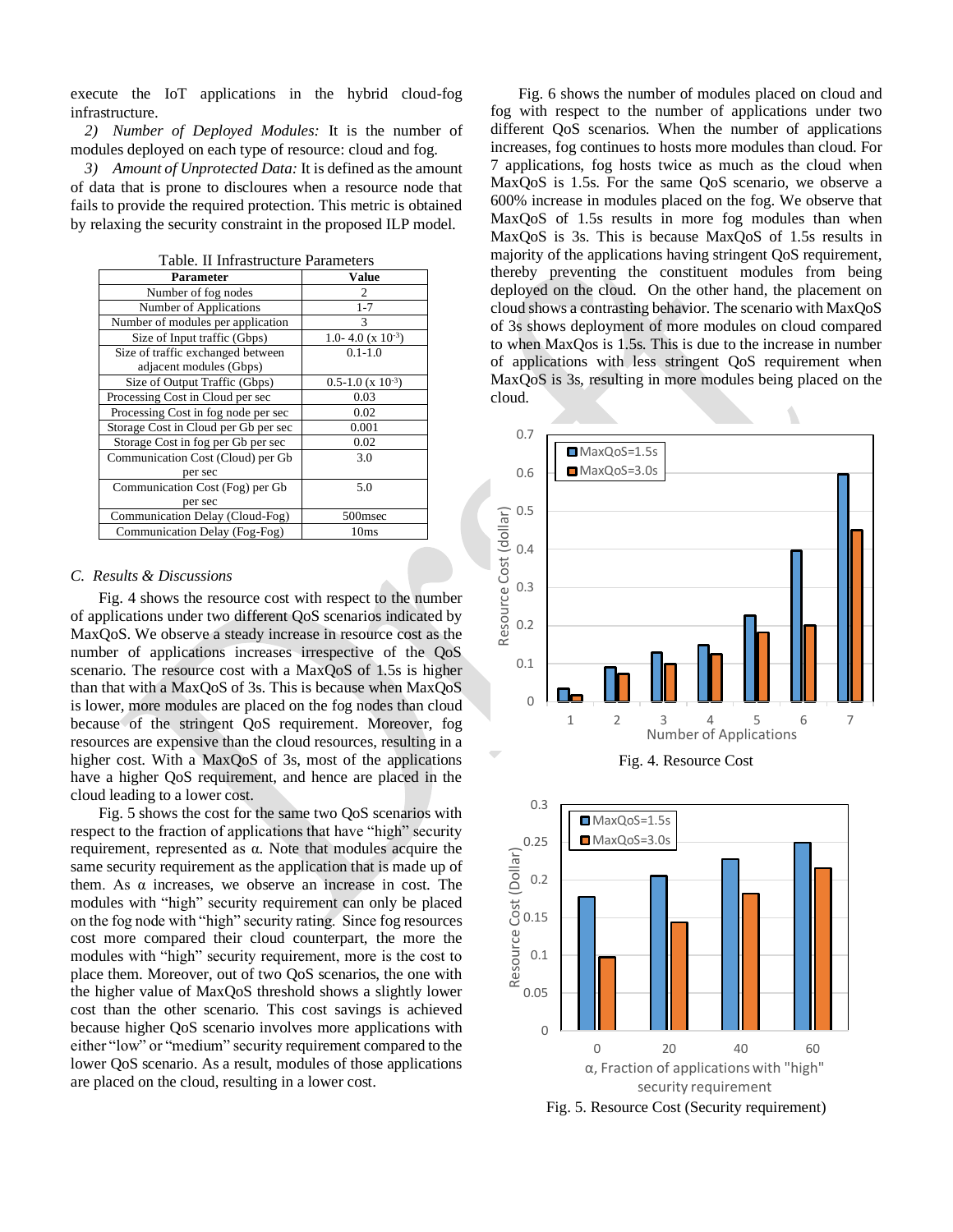execute the IoT applications in the hybrid cloud-fog infrastructure.

*2) Number of Deployed Modules:* It is the number of modules deployed on each type of resource: cloud and fog.

*3) Amount of Unprotected Data:* It is defined as the amount of data that is prone to discloures when a resource node that fails to provide the required protection. This metric is obtained by relaxing the security constraint in the proposed ILP model.

| 11 11111 as a cear c'h ar ann        |                                  |  |  |
|--------------------------------------|----------------------------------|--|--|
| Parameter                            | Value                            |  |  |
| Number of fog nodes                  | 2                                |  |  |
| Number of Applications               | $1 - 7$                          |  |  |
| Number of modules per application    | 3                                |  |  |
| Size of Input traffic (Gbps)         | 1.0-4.0 ( $x$ 10 <sup>-3</sup> ) |  |  |
| Size of traffic exchanged between    | $0.1 - 1.0$                      |  |  |
| adjacent modules (Gbps)              |                                  |  |  |
| Size of Output Traffic (Gbps)        | $0.5 - 1.0$ (x $10^{-3}$ )       |  |  |
| Processing Cost in Cloud per sec     | 0.03                             |  |  |
| Processing Cost in fog node per sec  | 0.02                             |  |  |
| Storage Cost in Cloud per Gb per sec | 0.001                            |  |  |
| Storage Cost in fog per Gb per sec   | 0.02                             |  |  |
| Communication Cost (Cloud) per Gb    | 3.0                              |  |  |
| per sec                              |                                  |  |  |
| Communication Cost (Fog) per Gb      | 5.0                              |  |  |
| per sec                              |                                  |  |  |
| Communication Delay (Cloud-Fog)      | 500 <sub>msec</sub>              |  |  |
| Communication Delay (Fog-Fog)        | 10ms                             |  |  |

Table. II Infrastructure Parameters

#### *C. Results & Discussions*

Fig. 4 shows the resource cost with respect to the number of applications under two different QoS scenarios indicated by MaxQoS. We observe a steady increase in resource cost as the number of applications increases irrespective of the QoS scenario. The resource cost with a MaxQoS of 1.5s is higher than that with a MaxQoS of 3s. This is because when MaxQoS is lower, more modules are placed on the fog nodes than cloud because of the stringent QoS requirement. Moreover, fog resources are expensive than the cloud resources, resulting in a higher cost. With a MaxQoS of 3s, most of the applications have a higher QoS requirement, and hence are placed in the cloud leading to a lower cost.

Fig. 5 shows the cost for the same two QoS scenarios with respect to the fraction of applications that have "high" security requirement, represented as α. Note that modules acquire the same security requirement as the application that is made up of them. As  $\alpha$  increases, we observe an increase in cost. The modules with "high" security requirement can only be placed on the fog node with "high" security rating. Since fog resources cost more compared their cloud counterpart, the more the modules with "high" security requirement, more is the cost to place them. Moreover, out of two QoS scenarios, the one with the higher value of MaxQoS threshold shows a slightly lower cost than the other scenario. This cost savings is achieved because higher QoS scenario involves more applications with either "low" or "medium" security requirement compared to the lower QoS scenario. As a result, modules of those applications are placed on the cloud, resulting in a lower cost.

Fig. 6 shows the number of modules placed on cloud and fog with respect to the number of applications under two different QoS scenarios. When the number of applications increases, fog continues to hosts more modules than cloud. For 7 applications, fog hosts twice as much as the cloud when MaxQoS is 1.5s. For the same QoS scenario, we observe a 600% increase in modules placed on the fog. We observe that MaxQoS of 1.5s results in more fog modules than when MaxQoS is 3s. This is because MaxQoS of 1.5s results in majority of the applications having stringent QoS requirement, thereby preventing the constituent modules from being deployed on the cloud. On the other hand, the placement on cloud shows a contrasting behavior. The scenario with MaxQoS of 3s shows deployment of more modules on cloud compared to when MaxQos is 1.5s. This is due to the increase in number of applications with less stringent QoS requirement when MaxQoS is 3s, resulting in more modules being placed on the cloud.



Fig. 4. Resource Cost



Fig. 5. Resource Cost (Security requirement)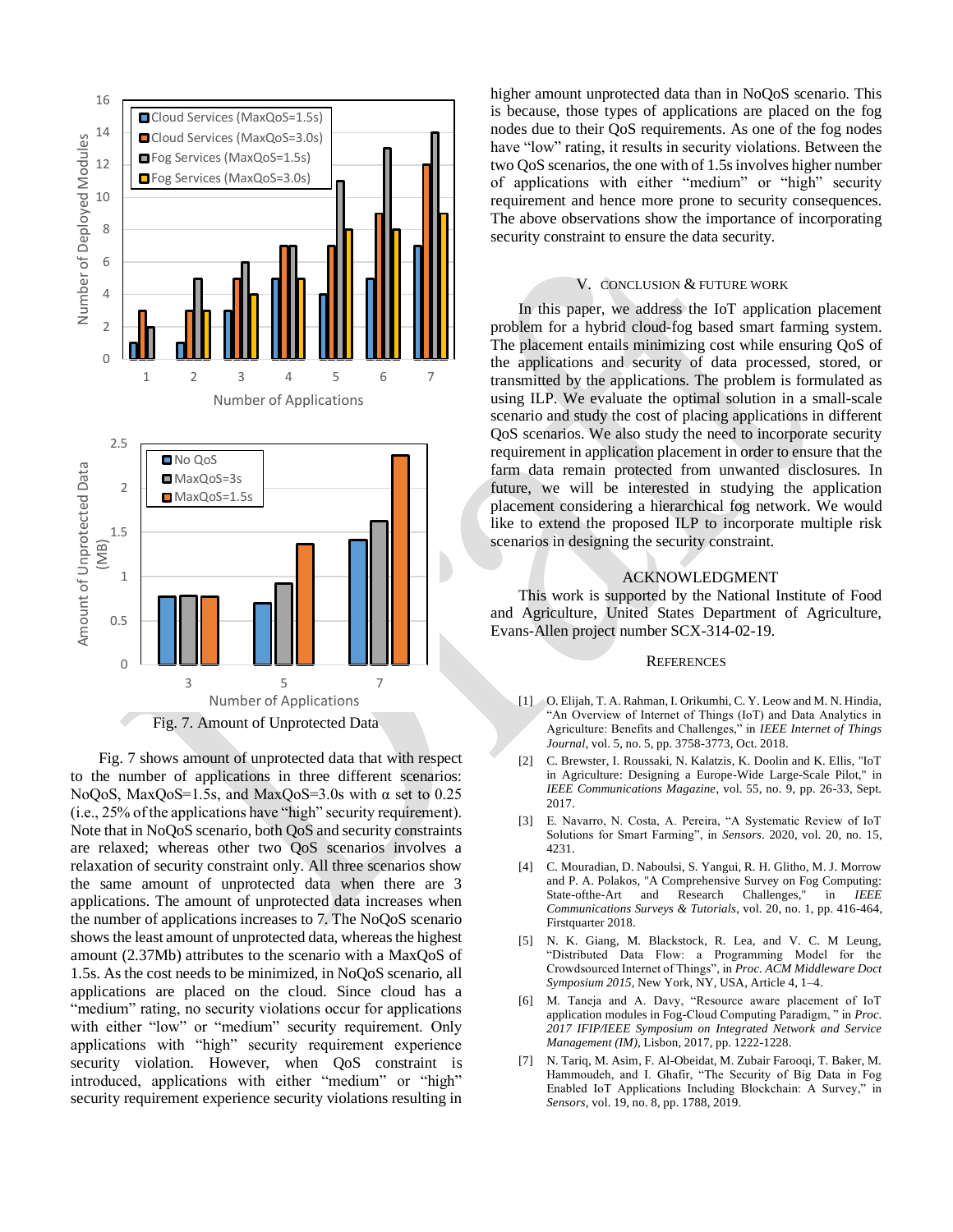

Fig. 7 shows amount of unprotected data that with respect to the number of applications in three different scenarios: NoQoS, MaxQoS=1.5s, and MaxQoS=3.0s with  $\alpha$  set to 0.25 (i.e., 25% of the applications have "high" security requirement). Note that in NoQoS scenario, both QoS and security constraints are relaxed; whereas other two QoS scenarios involves a relaxation of security constraint only. All three scenarios show the same amount of unprotected data when there are 3 applications. The amount of unprotected data increases when the number of applications increases to 7. The NoQoS scenario shows the least amount of unprotected data, whereas the highest amount (2.37Mb) attributes to the scenario with a MaxQoS of 1.5s. As the cost needs to be minimized, in NoQoS scenario, all applications are placed on the cloud. Since cloud has a "medium" rating, no security violations occur for applications with either "low" or "medium" security requirement. Only applications with "high" security requirement experience security violation. However, when OoS constraint is introduced, applications with either "medium" or "high" security requirement experience security violations resulting in

higher amount unprotected data than in NoQoS scenario. This is because, those types of applications are placed on the fog nodes due to their QoS requirements. As one of the fog nodes have "low" rating, it results in security violations. Between the two QoS scenarios, the one with of 1.5s involves higher number of applications with either "medium" or "high" security requirement and hence more prone to security consequences. The above observations show the importance of incorporating security constraint to ensure the data security.

# V. CONCLUSION & FUTURE WORK

In this paper, we address the IoT application placement problem for a hybrid cloud-fog based smart farming system. The placement entails minimizing cost while ensuring QoS of the applications and security of data processed, stored, or transmitted by the applications. The problem is formulated as using ILP. We evaluate the optimal solution in a small-scale scenario and study the cost of placing applications in different QoS scenarios. We also study the need to incorporate security requirement in application placement in order to ensure that the farm data remain protected from unwanted disclosures. In future, we will be interested in studying the application placement considering a hierarchical fog network. We would like to extend the proposed ILP to incorporate multiple risk scenarios in designing the security constraint.

## ACKNOWLEDGMENT

This work is supported by the National Institute of Food and Agriculture, United States Department of Agriculture, Evans-Allen project number SCX-314-02-19.

### **REFERENCES**

- [1] O. Elijah, T. A. Rahman, I. Orikumhi, C. Y. Leow and M. N. Hindia, "An Overview of Internet of Things (IoT) and Data Analytics in Agriculture: Benefits and Challenges," in *IEEE Internet of Things Journal*, vol. 5, no. 5, pp. 3758-3773, Oct. 2018.
- [2] C. Brewster, I. Roussaki, N. Kalatzis, K. Doolin and K. Ellis, "IoT in Agriculture: Designing a Europe-Wide Large-Scale Pilot," in *IEEE Communications Magazine*, vol. 55, no. 9, pp. 26-33, Sept. 2017.
- [3] E. Navarro, N. Costa, A. Pereira, "A Systematic Review of IoT Solutions for Smart Farming", in *Sensors*. 2020, vol. 20, no. 15, 4231.
- [4] C. Mouradian, D. Naboulsi, S. Yangui, R. H. Glitho, M. J. Morrow and P. A. Polakos, "A Comprehensive Survey on Fog Computing: State-ofthe-Art and Research Challenges," in *IEEE Communications Surveys & Tutorials*, vol. 20, no. 1, pp. 416-464, Firstquarter 2018.
- [5] N. K. Giang, M. Blackstock, R. Lea, and V. C. M Leung, "Distributed Data Flow: a Programming Model for the Crowdsourced Internet of Things", in *Proc. ACM Middleware Doct Symposium 2015*, New York, NY, USA, Article 4, 1–4.
- [6] M. Taneja and A. Davy, "Resource aware placement of IoT application modules in Fog-Cloud Computing Paradigm, " in *Proc. 2017 IFIP/IEEE Symposium on Integrated Network and Service Management (IM)*, Lisbon, 2017, pp. 1222-1228.
- [7] N. Tariq, M. Asim, F. Al-Obeidat, M. Zubair Farooqi, T. Baker, M. Hammoudeh, and I. Ghafir, "The Security of Big Data in Fog Enabled IoT Applications Including Blockchain: A Survey," in *Sensors,* vol. 19, no. 8, pp. 1788, 2019.